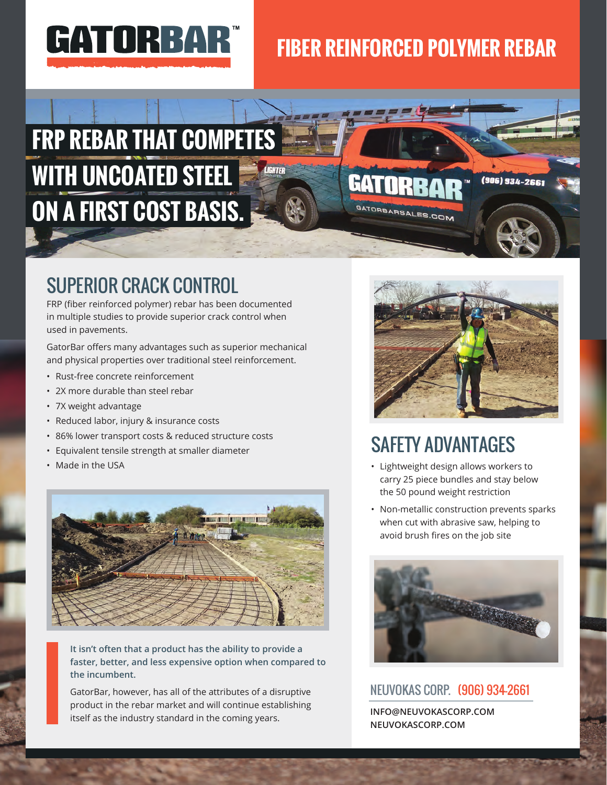

# **FIBER REINFORCED POLYMER REBAR**

GATORBARSALES.COM

# **FRP REBAR THAT COMPETES WITH UNCOATED STEEL ON A FIRST COST BASIS.**

### SUPERIOR CRACK CONTROL

FRP (fiber reinforced polymer) rebar has been documented in multiple studies to provide superior crack control when used in pavements.

GatorBar offers many advantages such as superior mechanical and physical properties over traditional steel reinforcement.

- Rust-free concrete reinforcement
- 2X more durable than steel rebar
- 7X weight advantage
- Reduced labor, injury & insurance costs
- 86% lower transport costs & reduced structure costs
- Equivalent tensile strength at smaller diameter
- Made in the USA



**It isn't often that a product has the ability to provide a faster, better, and less expensive option when compared to the incumbent.** 

GatorBar, however, has all of the attributes of a disruptive product in the rebar market and will continue establishing itself as the industry standard in the coming years.



(906) 934-2661

### SAFETY ADVANTAGES

- Lightweight design allows workers to carry 25 piece bundles and stay below the 50 pound weight restriction
- Non-metallic construction prevents sparks when cut with abrasive saw, helping to avoid brush fires on the job site



#### NEUVOKAS CORP. (906) 934-2661

**INFO@NEUVOKASCORP.COM NEUVOKASCORP.COM**